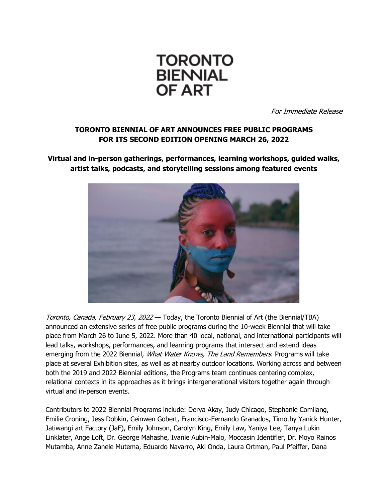

For Immediate Release

# **TORONTO BIENNIAL OF ART ANNOUNCES FREE PUBLIC PROGRAMS FOR ITS SECOND EDITION OPENING MARCH 26, 2022**

**Virtual and in-person gatherings, performances, learning workshops, guided walks, artist talks, podcasts, and storytelling sessions among featured events** 



Toronto, Canada, February 23, 2022 - Today, the Toronto Biennial of Art (the Biennial/TBA) announced an extensive series of free public programs during the 10-week Biennial that will take place from March 26 to June 5, 2022. More than 40 local, national, and international participants will lead talks, workshops, performances, and learning programs that intersect and extend ideas emerging from the 2022 Biennial, What Water Knows, The Land Remembers. Programs will take place at several Exhibition sites, as well as at nearby outdoor locations. Working across and between both the 2019 and 2022 Biennial editions, the Programs team continues centering complex, relational contexts in its approaches as it brings intergenerational visitors together again through virtual and in-person events.

Contributors to 2022 Biennial Programs include: Derya Akay, Judy Chicago, Stephanie Comilang, Emilie Croning, Jess Dobkin, Ceinwen Gobert, Francisco-Fernando Granados, Timothy Yanick Hunter, Jatiwangi art Factory (JaF), Emily Johnson, Carolyn King, Emily Law, Yaniya Lee, Tanya Lukin Linklater, Ange Loft, Dr. George Mahashe, Ivanie Aubin-Malo, Moccasin Identifier, Dr. Moyo Rainos Mutamba, Anne Zanele Mutema, Eduardo Navarro, Aki Onda, Laura Ortman, Paul Pfeiffer, Dana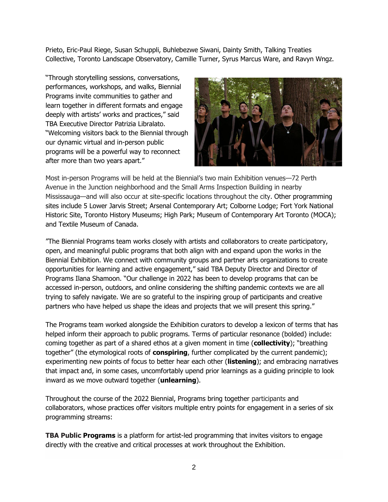Prieto, Eric-Paul Riege, Susan Schuppli, Buhlebezwe Siwani, Dainty Smith, Talking Treaties Collective, Toronto Landscape Observatory, Camille Turner, Syrus Marcus Ware, and Ravyn Wngz.

"Through storytelling sessions, conversations, performances, workshops, and walks, Biennial Programs invite communities to gather and learn together in different formats and engage deeply with artists' works and practices," said TBA Executive Director Patrizia Libralato. "Welcoming visitors back to the Biennial through our dynamic virtual and in-person public programs will be a powerful way to reconnect after more than two years apart."



Most in-person Programs will be held at the Biennial's two main Exhibition venues—72 Perth Avenue in the Junction neighborhood and the Small Arms Inspection Building in nearby Mississauga—and will also occur at site-specific locations throughout the city. Other programming sites include 5 Lower Jarvis Street; Arsenal Contemporary Art; Colborne Lodge; Fort York National Historic Site, Toronto History Museums; High Park; Museum of Contemporary Art Toronto (MOCA); and Textile Museum of Canada.

"The Biennial Programs team works closely with artists and collaborators to create participatory, open, and meaningful public programs that both align with and expand upon the works in the Biennial Exhibition. We connect with community groups and partner arts organizations to create opportunities for learning and active engagement," said TBA Deputy Director and Director of Programs Ilana Shamoon. "Our challenge in 2022 has been to develop programs that can be accessed in-person, outdoors, and online considering the shifting pandemic contexts we are all trying to safely navigate. We are so grateful to the inspiring group of participants and creative partners who have helped us shape the ideas and projects that we will present this spring."

The Programs team worked alongside the Exhibition curators to develop a lexicon of terms that has helped inform their approach to public programs. Terms of particular resonance (bolded) include: coming together as part of a shared ethos at a given moment in time (**collectivity**); "breathing together" (the etymological roots of **conspiring**, further complicated by the current pandemic); experimenting new points of focus to better hear each other (**listening**); and embracing narratives that impact and, in some cases, uncomfortably upend prior learnings as a guiding principle to look inward as we move outward together (**unlearning**).

Throughout the course of the 2022 Biennial, Programs bring together participants and collaborators, whose practices offer visitors multiple entry points for engagement in a series of six programming streams:

**TBA Public Programs** is a platform for artist-led programming that invites visitors to engage directly with the creative and critical processes at work throughout the Exhibition.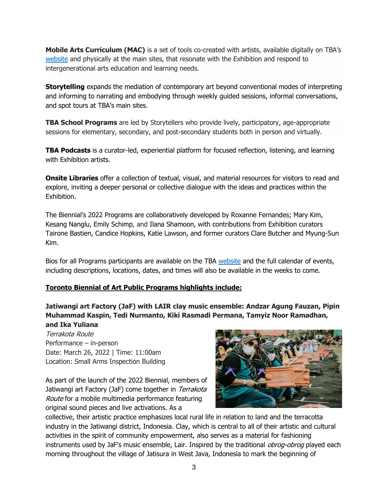**Mobile Arts Curriculum (MAC)** is a set of tools co-created with artists, available digitally on TBA's [website](https://torontobiennial.org/) and physically at the main sites, that resonate with the Exhibition and respond to intergenerational arts education and learning needs.

**Storytelling** expands the mediation of contemporary art beyond conventional modes of interpreting and informing to narrating and embodying through weekly guided sessions, informal conversations, and spot tours at TBA's main sites.

**TBA School Programs** are led by Storytellers who provide lively, participatory, age-appropriate sessions for elementary, secondary, and post-secondary students both in person and virtually.

**TBA Podcasts** is a curator-led, experiential platform for focused reflection, listening, and learning with Exhibition artists.

**Onsite Libraries** offer a collection of textual, visual, and material resources for visitors to read and explore, inviting a deeper personal or collective dialogue with the ideas and practices within the Exhibition.

The Biennial's 2022 Programs are collaboratively developed by Roxanne Fernandes; Mary Kim, Kesang Nanglu, Emily Schimp, and Ilana Shamoon, with contributions from Exhibition curators Tairone Bastien, Candice Hopkins, Katie Lawson, and former curators Clare Butcher and Myung-Sun Kim.

Bios for all Programs participants are available on the TBA [website](https://torontobiennial.org/participants/) and the full calendar of events, including descriptions, locations, dates, and times will also be available in the weeks to come.

### **Toronto Biennial of Art Public Programs highlights include:**

**Jatiwangi art Factory (JaF) with LAIR clay music ensemble: Andzar Agung Fauzan, Pipin Muhammad Kaspin, Tedi Nurmanto, Kiki Rasmadi Permana, Tamyiz Noor Ramadhan, and Ika Yuliana**

Terrakota Route Performance – in-person Date: March 26, 2022 | Time: 11:00am Location: Small Arms Inspection Building

As part of the launch of the 2022 Biennial, members of Jatiwangi art Factory (JaF) come together in Terrakota Route for a mobile multimedia performance featuring original sound pieces and live activations. As a



collective, their artistic practice emphasizes local rural life in relation to land and the terracotta industry in the Jatiwangi district, Indonesia. Clay, which is central to all of their artistic and cultural activities in the spirit of community empowerment, also serves as a material for fashioning instruments used by JaF's music ensemble, Lair. Inspired by the traditional *obrog-obrog* played each morning throughout the village of Jatisura in West Java, Indonesia to mark the beginning of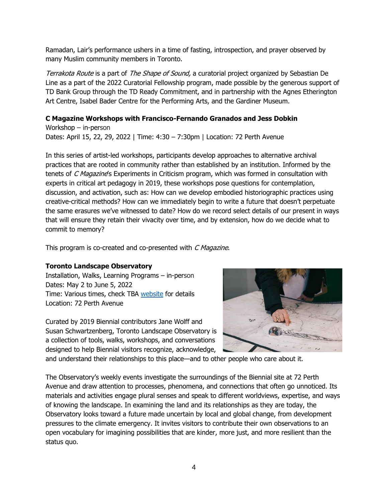Ramadan, Lair's performance ushers in a time of fasting, introspection, and prayer observed by many Muslim community members in Toronto.

Terrakota Route is a part of The Shape of Sound, a curatorial project organized by Sebastian De Line as a part of the 2022 Curatorial Fellowship program, made possible by the generous support of TD Bank Group through the TD Ready Commitment, and in partnership with the Agnes Etherington Art Centre, Isabel Bader Centre for the Performing Arts, and the Gardiner Museum.

#### **C Magazine Workshops with Francisco-Fernando Granados and Jess Dobkin**

Workshop – in-person Dates: April 15, 22, 29, 2022 | Time: 4:30 – 7:30pm | Location: 72 Perth Avenue

In this series of artist-led workshops, participants develop approaches to alternative archival practices that are rooted in community rather than established by an institution. Informed by the tenets of C Magazine's Experiments in Criticism program, which was formed in consultation with experts in critical art pedagogy in 2019, these workshops pose questions for contemplation, discussion, and activation, such as: How can we develop embodied historiographic practices using creative-critical methods? How can we immediately begin to write a future that doesn't perpetuate the same erasures we've witnessed to date? How do we record select details of our present in ways that will ensure they retain their vivacity over time, and by extension, how do we decide what to commit to memory?

This program is co-created and co-presented with C Magazine.

#### **Toronto Landscape Observatory**

Installation, Walks, Learning Programs – in-person Dates: May 2 to June 5, 2022 Time: Various times, check TBA [website](https://torontobiennial.org/) for details Location: 72 Perth Avenue

Curated by 2019 Biennial contributors Jane Wolff and Susan Schwartzenberg, Toronto Landscape Observatory is a collection of tools, walks, workshops, and conversations designed to help Biennial visitors recognize, acknowledge,



and understand their relationships to this place—and to other people who care about it.

The Observatory's weekly events investigate the surroundings of the Biennial site at 72 Perth Avenue and draw attention to processes, phenomena, and connections that often go unnoticed. Its materials and activities engage plural senses and speak to different worldviews, expertise, and ways of knowing the landscape. In examining the land and its relationships as they are today, the Observatory looks toward a future made uncertain by local and global change, from development pressures to the climate emergency. It invites visitors to contribute their own observations to an open vocabulary for imagining possibilities that are kinder, more just, and more resilient than the status quo.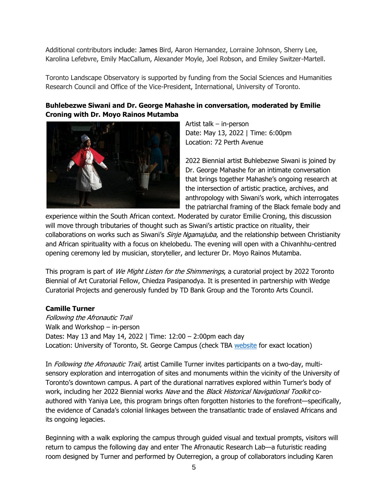Additional contributors include: James Bird, Aaron Hernandez, Lorraine Johnson, Sherry Lee, Karolina Lefebvre, Emily MacCallum, Alexander Moyle, Joel Robson, and Emiley Switzer-Martell.

Toronto Landscape Observatory is supported by funding from the Social Sciences and Humanities Research Council and Office of the Vice-President, International, University of Toronto.

## **Buhlebezwe Siwani and Dr. George Mahashe in conversation, moderated by Emilie Croning with Dr. Moyo Rainos Mutamba**



Artist talk – in-person Date: May 13, 2022 | Time: 6:00pm Location: 72 Perth Avenue

2022 Biennial artist Buhlebezwe Siwani is joined by Dr. George Mahashe for an intimate conversation that brings together Mahashe's ongoing research at the intersection of artistic practice, archives, and anthropology with Siwani's work, which interrogates the patriarchal framing of the Black female body and

experience within the South African context. Moderated by curator Emilie Croning, this discussion will move through tributaries of thought such as Siwani's artistic practice on rituality, their collaborations on works such as Siwani's *Sinje Ngamajuba*, and the relationship between Christianity and African spirituality with a focus on khelobedu. The evening will open with a Chivanhhu-centred opening ceremony led by musician, storyteller, and lecturer Dr. Moyo Rainos Mutamba.

This program is part of We Might Listen for the Shimmerings, a curatorial project by 2022 Toronto Biennial of Art Curatorial Fellow, Chiedza Pasipanodya. It is presented in partnership with Wedge Curatorial Projects and generously funded by TD Bank Group and the Toronto Arts Council.

### **Camille Turner**

Following the Afronautic Trail Walk and Workshop – in-person Dates: May 13 and May 14, 2022 | Time: 12:00 – 2:00pm each day Location: University of Toronto, St. George Campus (check TBA [website](https://torontobiennial.org/) for exact location)

In *Following the Afronautic Trail*, artist Camille Turner invites participants on a two-day, multisensory exploration and interrogation of sites and monuments within the vicinity of the University of Toronto's downtown campus. A part of the durational narratives explored within Turner's body of work, including her 2022 Biennial works Nave and the Black Historical Navigational Toolkit coauthored with Yaniya Lee, this program brings often forgotten histories to the forefront—specifically, the evidence of Canada's colonial linkages between the transatlantic trade of enslaved Africans and its ongoing legacies.

Beginning with a walk exploring the campus through guided visual and textual prompts, visitors will return to campus the following day and enter The Afronautic Research Lab—a futuristic reading room designed by Turner and performed by Outerregion, a group of collaborators including Karen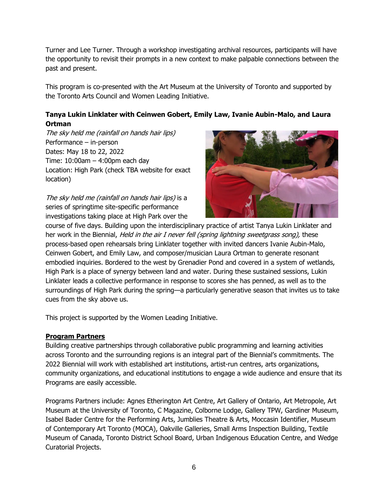Turner and Lee Turner. Through a workshop investigating archival resources, participants will have the opportunity to revisit their prompts in a new context to make palpable connections between the past and present.

This program is co-presented with the Art Museum at the University of Toronto and supported by the Toronto Arts Council and Women Leading Initiative.

## **Tanya Lukin Linklater with Ceinwen Gobert, Emily Law, Ivanie Aubin-Malo, and Laura Ortman**

The sky held me (rainfall on hands hair lips) Performance – in-person Dates: May 18 to 22, 2022 Time: 10:00am – 4:00pm each day Location: High Park (check TBA website for exact location)

The sky held me (rainfall on hands hair lips) is a series of springtime site-specific performance investigations taking place at High Park over the



course of five days. Building upon the interdisciplinary practice of artist Tanya Lukin Linklater and her work in the Biennial, *Held in the air I never fell (spring lightning sweetgrass song)*, these process-based open rehearsals bring Linklater together with invited dancers Ivanie Aubin-Malo, Ceinwen Gobert, and Emily Law, and composer/musician Laura Ortman to generate resonant embodied inquiries. Bordered to the west by Grenadier Pond and covered in a system of wetlands, High Park is a place of synergy between land and water. During these sustained sessions, Lukin Linklater leads a collective performance in response to scores she has penned, as well as to the surroundings of High Park during the spring—a particularly generative season that invites us to take cues from the sky above us.

This project is supported by the Women Leading Initiative.

### **Program Partners**

Building creative partnerships through collaborative public programming and learning activities across Toronto and the surrounding regions is an integral part of the Biennial's commitments. The 2022 Biennial will work with established art institutions, artist-run centres, arts organizations, community organizations, and educational institutions to engage a wide audience and ensure that its Programs are easily accessible.

Programs Partners include: Agnes Etherington Art Centre, Art Gallery of Ontario, Art Metropole, Art Museum at the University of Toronto, C Magazine, Colborne Lodge, Gallery TPW, Gardiner Museum, Isabel Bader Centre for the Performing Arts, Jumblies Theatre & Arts, Moccasin Identifier, Museum of Contemporary Art Toronto (MOCA), Oakville Galleries, Small Arms Inspection Building, Textile Museum of Canada, Toronto District School Board, Urban Indigenous Education Centre, and Wedge Curatorial Projects.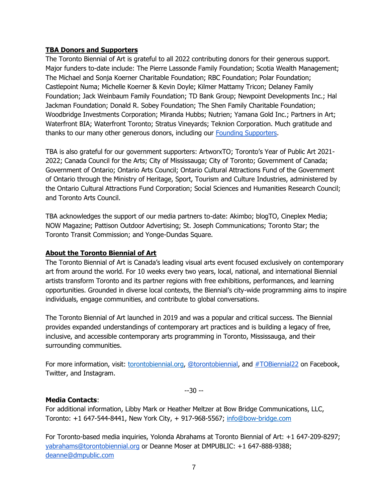#### **TBA Donors and Supporters**

The Toronto Biennial of Art is grateful to all 2022 contributing donors for their generous support. Major funders to-date include: The Pierre Lassonde Family Foundation; Scotia Wealth Management; The Michael and Sonja Koerner Charitable Foundation; RBC Foundation; Polar Foundation; Castlepoint Numa; Michelle Koerner & Kevin Doyle; Kilmer Mattamy Tricon; Delaney Family Foundation; Jack Weinbaum Family Foundation; TD Bank Group; Newpoint Developments Inc.; Hal Jackman Foundation; Donald R. Sobey Foundation; The Shen Family Charitable Foundation; Woodbridge Investments Corporation; Miranda Hubbs; Nutrien; Yamana Gold Inc.; Partners in Art; Waterfront BIA; Waterfront Toronto; Stratus Vineyards; Teknion Corporation. Much gratitude and thanks to our many other generous donors, including our [Founding Supporters.](http://torontobiennial.org/donors-and-supporters)

TBA is also grateful for our government supporters: ArtworxTO; Toronto's Year of Public Art 2021- 2022; Canada Council for the Arts; City of Mississauga; City of Toronto; Government of Canada; Government of Ontario; Ontario Arts Council; Ontario Cultural Attractions Fund of the Government of Ontario through the Ministry of Heritage, Sport, Tourism and Culture Industries, administered by the Ontario Cultural Attractions Fund Corporation; Social Sciences and Humanities Research Council; and Toronto Arts Council.

TBA acknowledges the support of our media partners to-date: Akimbo; blogTO, Cineplex Media; NOW Magazine; Pattison Outdoor Advertising; St. Joseph Communications; Toronto Star; the Toronto Transit Commission; and Yonge-Dundas Square.

#### **About the Toronto Biennial of Art**

The Toronto Biennial of Art is Canada's leading visual arts event focused exclusively on contemporary art from around the world. For 10 weeks every two years, local, national, and international Biennial artists transform Toronto and its partner regions with free exhibitions, performances, and learning opportunities. Grounded in diverse local contexts, the Biennial's city-wide programming aims to inspire individuals, engage communities, and contribute to global conversations.

The Toronto Biennial of Art launched in 2019 and was a popular and critical success. The Biennial provides expanded understandings of contemporary art practices and is building a legacy of free, inclusive, and accessible contemporary arts programming in Toronto, Mississauga, and their surrounding communities.

For more information, visit: [torontobiennial.org,](https://torontobiennial.org/) [@torontobiennial,](https://www.instagram.com/torontobiennial/) and [#TOBiennial22](https://www.instagram.com/explore/tags/tobiennial22/) on Facebook, Twitter, and Instagram.

--30 --

#### **Media Contacts**:

For additional information, Libby Mark or Heather Meltzer at Bow Bridge Communications, LLC, Toronto: +1 647-544-8441, New York City, + 917-968-5567; [info@bow-bridge.com](mailto:info@bow-bridge.com)

For Toronto-based media inquiries, Yolonda Abrahams at Toronto Biennial of Art: +1 647-209-8297; [yabrahams@torontobiennial.org](mailto:yabrahams@torontobiennial.org) or Deanne Moser at DMPUBLIC: +1 647-888-9388; [deanne@dmpublic.com](mailto:deanne@dmpublic.com)